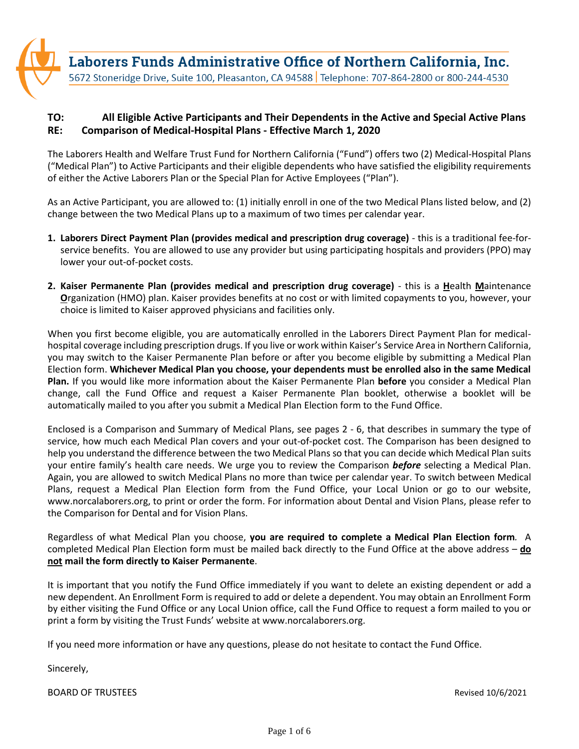Laborers Funds Administrative Office of Northern California, Inc. 5672 Stoneridge Drive, Suite 100, Pleasanton, CA 94588 | Telephone: 707-864-2800 or 800-244-4530

## **TO: All Eligible Active Participants and Their Dependents in the Active and Special Active Plans RE: Comparison of Medical-Hospital Plans - Effective March 1, 2020**

The Laborers Health and Welfare Trust Fund for Northern California ("Fund") offers two (2) Medical-Hospital Plans ("Medical Plan") to Active Participants and their eligible dependents who have satisfied the eligibility requirements of either the Active Laborers Plan or the Special Plan for Active Employees ("Plan").

As an Active Participant, you are allowed to: (1) initially enroll in one of the two Medical Plans listed below, and (2) change between the two Medical Plans up to a maximum of two times per calendar year.

- **1. Laborers Direct Payment Plan (provides medical and prescription drug coverage)**  this is a traditional fee-forservice benefits. You are allowed to use any provider but using participating hospitals and providers (PPO) may lower your out-of-pocket costs.
- **2. Kaiser Permanente Plan (provides medical and prescription drug coverage)** this is a **H**ealth **M**aintenance **O**rganization (HMO) plan. Kaiser provides benefits at no cost or with limited copayments to you, however, your choice is limited to Kaiser approved physicians and facilities only.

When you first become eligible, you are automatically enrolled in the Laborers Direct Payment Plan for medicalhospital coverage including prescription drugs. If you live or work within Kaiser's Service Area in Northern California, you may switch to the Kaiser Permanente Plan before or after you become eligible by submitting a Medical Plan Election form. **Whichever Medical Plan you choose, your dependents must be enrolled also in the same Medical Plan.** If you would like more information about the Kaiser Permanente Plan **before** you consider a Medical Plan change, call the Fund Office and request a Kaiser Permanente Plan booklet, otherwise a booklet will be automatically mailed to you after you submit a Medical Plan Election form to the Fund Office.

Enclosed is a Comparison and Summary of Medical Plans, see pages 2 - 6, that describes in summary the type of service, how much each Medical Plan covers and your out-of-pocket cost. The Comparison has been designed to help you understand the difference between the two Medical Plans so that you can decide which Medical Plan suits your entire family's health care needs. We urge you to review the Comparison *before* selecting a Medical Plan. Again, you are allowed to switch Medical Plans no more than twice per calendar year. To switch between Medical Plans, request a Medical Plan Election form from the Fund Office, your Local Union or go to our website, www.norcalaborers.org, to print or order the form. For information about Dental and Vision Plans, please refer to the Comparison for Dental and for Vision Plans.

Regardless of what Medical Plan you choose, **you are required to complete a Medical Plan Election form***.* A completed Medical Plan Election form must be mailed back directly to the Fund Office at the above address – **do not mail the form directly to Kaiser Permanente**.

It is important that you notify the Fund Office immediately if you want to delete an existing dependent or add a new dependent. An Enrollment Form is required to add or delete a dependent. You may obtain an Enrollment Form by either visiting the Fund Office or any Local Union office, call the Fund Office to request a form mailed to you or print a form by visiting the Trust Funds' website at www.norcalaborers.org.

If you need more information or have any questions, please do not hesitate to contact the Fund Office.

Sincerely,

BOARD OF TRUSTEES **Revised 10/6/2021**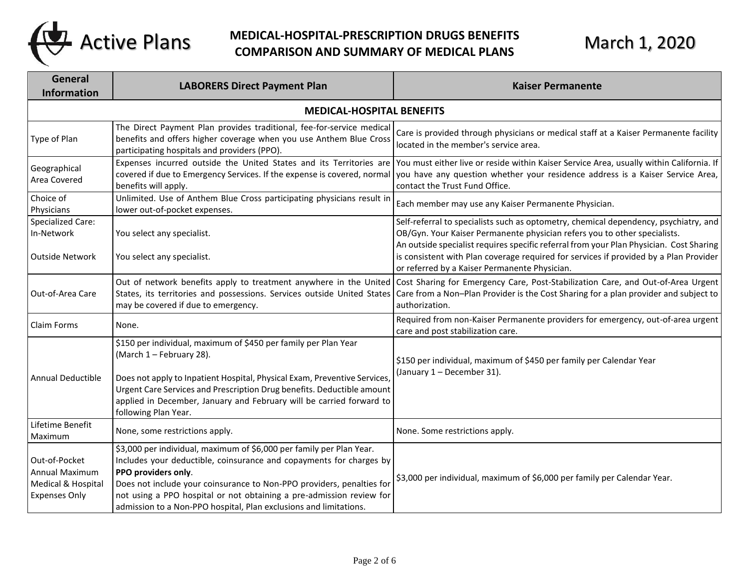

## **MEDICAL-HOSPITAL-PRESCRIPTION DRUGS BENEFITS** Active Plans MEDICAL-HOSPITAL-PRESCRIPTION DRUGS BENEFITS March 1, 2020

| General<br><b>Information</b>                                                        | <b>LABORERS Direct Payment Plan</b>                                                                                                                                                                                                                                                                                                                                                      | <b>Kaiser Permanente</b>                                                                                                                                                                                                                                                                                                                                                                               |  |  |
|--------------------------------------------------------------------------------------|------------------------------------------------------------------------------------------------------------------------------------------------------------------------------------------------------------------------------------------------------------------------------------------------------------------------------------------------------------------------------------------|--------------------------------------------------------------------------------------------------------------------------------------------------------------------------------------------------------------------------------------------------------------------------------------------------------------------------------------------------------------------------------------------------------|--|--|
| <b>MEDICAL-HOSPITAL BENEFITS</b>                                                     |                                                                                                                                                                                                                                                                                                                                                                                          |                                                                                                                                                                                                                                                                                                                                                                                                        |  |  |
| Type of Plan                                                                         | The Direct Payment Plan provides traditional, fee-for-service medical<br>benefits and offers higher coverage when you use Anthem Blue Cross<br>participating hospitals and providers (PPO).                                                                                                                                                                                              | Care is provided through physicians or medical staff at a Kaiser Permanente facility<br>located in the member's service area.                                                                                                                                                                                                                                                                          |  |  |
| Geographical<br>Area Covered                                                         | Expenses incurred outside the United States and its Territories are<br>covered if due to Emergency Services. If the expense is covered, normal<br>benefits will apply.                                                                                                                                                                                                                   | You must either live or reside within Kaiser Service Area, usually within California. If<br>you have any question whether your residence address is a Kaiser Service Area,<br>contact the Trust Fund Office.                                                                                                                                                                                           |  |  |
| Choice of<br>Physicians                                                              | Unlimited. Use of Anthem Blue Cross participating physicians result in<br>lower out-of-pocket expenses.                                                                                                                                                                                                                                                                                  | Each member may use any Kaiser Permanente Physician.                                                                                                                                                                                                                                                                                                                                                   |  |  |
| Specialized Care:<br>In-Network<br>Outside Network                                   | You select any specialist.<br>You select any specialist.                                                                                                                                                                                                                                                                                                                                 | Self-referral to specialists such as optometry, chemical dependency, psychiatry, and<br>OB/Gyn. Your Kaiser Permanente physician refers you to other specialists.<br>An outside specialist requires specific referral from your Plan Physician. Cost Sharing<br>is consistent with Plan coverage required for services if provided by a Plan Provider<br>or referred by a Kaiser Permanente Physician. |  |  |
| Out-of-Area Care                                                                     | Out of network benefits apply to treatment anywhere in the United<br>States, its territories and possessions. Services outside United States<br>may be covered if due to emergency.                                                                                                                                                                                                      | Cost Sharing for Emergency Care, Post-Stabilization Care, and Out-of-Area Urgent<br>Care from a Non-Plan Provider is the Cost Sharing for a plan provider and subject to<br>authorization.                                                                                                                                                                                                             |  |  |
| Claim Forms                                                                          | None.                                                                                                                                                                                                                                                                                                                                                                                    | Required from non-Kaiser Permanente providers for emergency, out-of-area urgent<br>care and post stabilization care.                                                                                                                                                                                                                                                                                   |  |  |
| Annual Deductible                                                                    | \$150 per individual, maximum of \$450 per family per Plan Year<br>(March 1 - February 28).<br>Does not apply to Inpatient Hospital, Physical Exam, Preventive Services,<br>Urgent Care Services and Prescription Drug benefits. Deductible amount<br>applied in December, January and February will be carried forward to<br>following Plan Year.                                       | \$150 per individual, maximum of \$450 per family per Calendar Year<br>(January 1 - December 31).                                                                                                                                                                                                                                                                                                      |  |  |
| Lifetime Benefit<br>Maximum                                                          | None, some restrictions apply.                                                                                                                                                                                                                                                                                                                                                           | None. Some restrictions apply.                                                                                                                                                                                                                                                                                                                                                                         |  |  |
| Out-of-Pocket<br><b>Annual Maximum</b><br>Medical & Hospital<br><b>Expenses Only</b> | \$3,000 per individual, maximum of \$6,000 per family per Plan Year.<br>Includes your deductible, coinsurance and copayments for charges by<br>PPO providers only.<br>Does not include your coinsurance to Non-PPO providers, penalties for<br>not using a PPO hospital or not obtaining a pre-admission review for<br>admission to a Non-PPO hospital, Plan exclusions and limitations. | \$3,000 per individual, maximum of \$6,000 per family per Calendar Year.                                                                                                                                                                                                                                                                                                                               |  |  |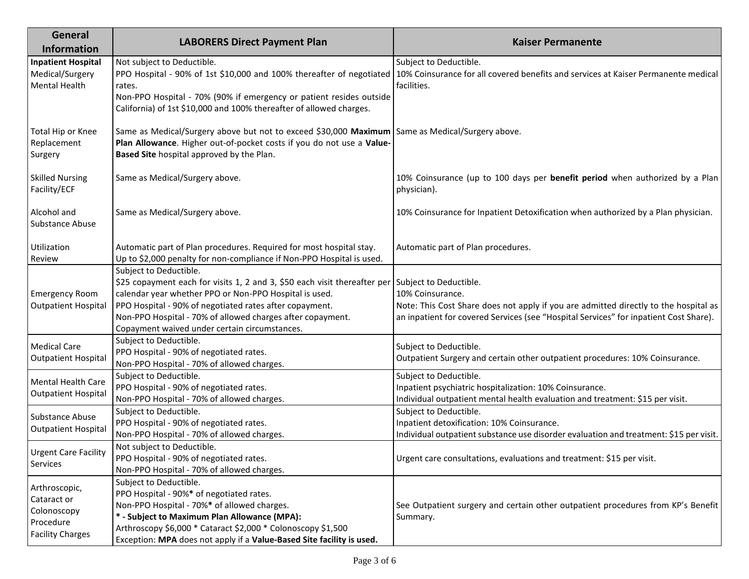| General<br><b>Information</b>                                                       | <b>LABORERS Direct Payment Plan</b>                                                                                                                                                                                                                                                                                                                            | <b>Kaiser Permanente</b>                                                                                                                                                                          |
|-------------------------------------------------------------------------------------|----------------------------------------------------------------------------------------------------------------------------------------------------------------------------------------------------------------------------------------------------------------------------------------------------------------------------------------------------------------|---------------------------------------------------------------------------------------------------------------------------------------------------------------------------------------------------|
| <b>Inpatient Hospital</b><br>Medical/Surgery<br><b>Mental Health</b>                | Not subject to Deductible.<br>PPO Hospital - 90% of 1st \$10,000 and 100% thereafter of negotiated<br>rates.<br>Non-PPO Hospital - 70% (90% if emergency or patient resides outside<br>California) of 1st \$10,000 and 100% thereafter of allowed charges.                                                                                                     | Subject to Deductible.<br>10% Coinsurance for all covered benefits and services at Kaiser Permanente medical<br>facilities.                                                                       |
| Total Hip or Knee<br>Replacement<br>Surgery                                         | Same as Medical/Surgery above but not to exceed \$30,000 Maximum Same as Medical/Surgery above.<br>Plan Allowance. Higher out-of-pocket costs if you do not use a Value-<br>Based Site hospital approved by the Plan.                                                                                                                                          |                                                                                                                                                                                                   |
| <b>Skilled Nursing</b><br>Facility/ECF                                              | Same as Medical/Surgery above.                                                                                                                                                                                                                                                                                                                                 | 10% Coinsurance (up to 100 days per benefit period when authorized by a Plan<br>physician).                                                                                                       |
| Alcohol and<br>Substance Abuse                                                      | Same as Medical/Surgery above.                                                                                                                                                                                                                                                                                                                                 | 10% Coinsurance for Inpatient Detoxification when authorized by a Plan physician.                                                                                                                 |
| Utilization<br>Review                                                               | Automatic part of Plan procedures. Required for most hospital stay.<br>Up to \$2,000 penalty for non-compliance if Non-PPO Hospital is used.                                                                                                                                                                                                                   | Automatic part of Plan procedures.                                                                                                                                                                |
| <b>Emergency Room</b><br><b>Outpatient Hospital</b>                                 | Subject to Deductible.<br>\$25 copayment each for visits 1, 2 and 3, \$50 each visit thereafter per Subject to Deductible.<br>calendar year whether PPO or Non-PPO Hospital is used.<br>PPO Hospital - 90% of negotiated rates after copayment.<br>Non-PPO Hospital - 70% of allowed charges after copayment.<br>Copayment waived under certain circumstances. | 10% Coinsurance.<br>Note: This Cost Share does not apply if you are admitted directly to the hospital as<br>an inpatient for covered Services (see "Hospital Services" for inpatient Cost Share). |
| <b>Medical Care</b><br><b>Outpatient Hospital</b>                                   | Subject to Deductible.<br>PPO Hospital - 90% of negotiated rates.<br>Non-PPO Hospital - 70% of allowed charges.                                                                                                                                                                                                                                                | Subject to Deductible.<br>Outpatient Surgery and certain other outpatient procedures: 10% Coinsurance.                                                                                            |
| Mental Health Care<br><b>Outpatient Hospital</b>                                    | Subject to Deductible.<br>PPO Hospital - 90% of negotiated rates.<br>Non-PPO Hospital - 70% of allowed charges.                                                                                                                                                                                                                                                | Subject to Deductible.<br>Inpatient psychiatric hospitalization: 10% Coinsurance.<br>Individual outpatient mental health evaluation and treatment: \$15 per visit.                                |
| Substance Abuse<br><b>Outpatient Hospital</b>                                       | Subject to Deductible.<br>PPO Hospital - 90% of negotiated rates.<br>Non-PPO Hospital - 70% of allowed charges.                                                                                                                                                                                                                                                | Subject to Deductible.<br>Inpatient detoxification: 10% Coinsurance.<br>Individual outpatient substance use disorder evaluation and treatment: \$15 per visit.                                    |
| <b>Urgent Care Facility</b><br>Services                                             | Not subject to Deductible.<br>PPO Hospital - 90% of negotiated rates.<br>Non-PPO Hospital - 70% of allowed charges.                                                                                                                                                                                                                                            | Urgent care consultations, evaluations and treatment: \$15 per visit.                                                                                                                             |
| Arthroscopic,<br>Cataract or<br>Colonoscopy<br>Procedure<br><b>Facility Charges</b> | Subject to Deductible.<br>PPO Hospital - 90%* of negotiated rates.<br>Non-PPO Hospital - 70%* of allowed charges.<br>* - Subject to Maximum Plan Allowance (MPA):<br>Arthroscopy \$6,000 * Cataract \$2,000 * Colonoscopy \$1,500<br>Exception: MPA does not apply if a Value-Based Site facility is used.                                                     | See Outpatient surgery and certain other outpatient procedures from KP's Benefit<br>Summary.                                                                                                      |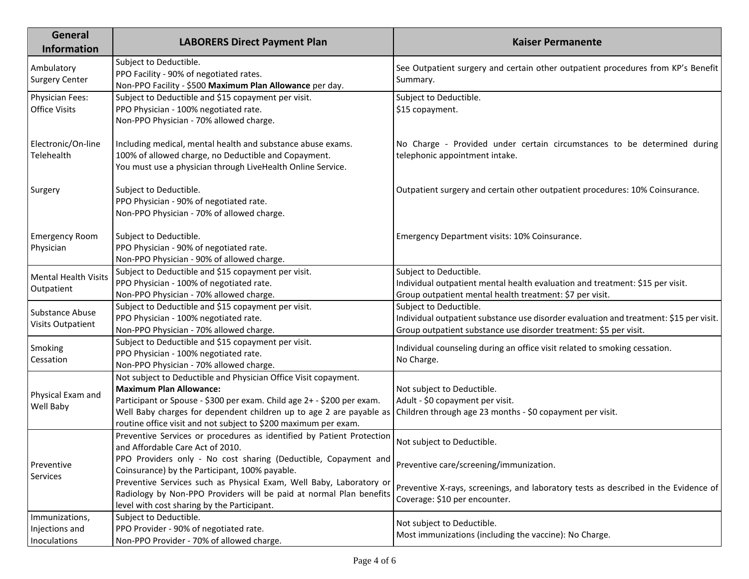| General<br><b>Information</b>                    | <b>LABORERS Direct Payment Plan</b>                                                                                                                                                                                                                                                                                   | <b>Kaiser Permanente</b>                                                                                                                                                              |
|--------------------------------------------------|-----------------------------------------------------------------------------------------------------------------------------------------------------------------------------------------------------------------------------------------------------------------------------------------------------------------------|---------------------------------------------------------------------------------------------------------------------------------------------------------------------------------------|
| Ambulatory<br><b>Surgery Center</b>              | Subject to Deductible.<br>PPO Facility - 90% of negotiated rates.<br>Non-PPO Facility - \$500 Maximum Plan Allowance per day.                                                                                                                                                                                         | See Outpatient surgery and certain other outpatient procedures from KP's Benefit<br>Summary.                                                                                          |
| Physician Fees:<br><b>Office Visits</b>          | Subject to Deductible and \$15 copayment per visit.<br>PPO Physician - 100% negotiated rate.<br>Non-PPO Physician - 70% allowed charge.                                                                                                                                                                               | Subject to Deductible.<br>\$15 copayment.                                                                                                                                             |
| Electronic/On-line<br>Telehealth                 | Including medical, mental health and substance abuse exams.<br>100% of allowed charge, no Deductible and Copayment.<br>You must use a physician through LiveHealth Online Service.                                                                                                                                    | No Charge - Provided under certain circumstances to be determined during<br>telephonic appointment intake.                                                                            |
| Surgery                                          | Subject to Deductible.<br>PPO Physician - 90% of negotiated rate.<br>Non-PPO Physician - 70% of allowed charge.                                                                                                                                                                                                       | Outpatient surgery and certain other outpatient procedures: 10% Coinsurance.                                                                                                          |
| <b>Emergency Room</b><br>Physician               | Subject to Deductible.<br>PPO Physician - 90% of negotiated rate.<br>Non-PPO Physician - 90% of allowed charge.                                                                                                                                                                                                       | Emergency Department visits: 10% Coinsurance.                                                                                                                                         |
| <b>Mental Health Visits</b><br>Outpatient        | Subject to Deductible and \$15 copayment per visit.<br>PPO Physician - 100% of negotiated rate.<br>Non-PPO Physician - 70% allowed charge.                                                                                                                                                                            | Subject to Deductible.<br>Individual outpatient mental health evaluation and treatment: \$15 per visit.<br>Group outpatient mental health treatment: \$7 per visit.                   |
| Substance Abuse<br><b>Visits Outpatient</b>      | Subject to Deductible and \$15 copayment per visit.<br>PPO Physician - 100% negotiated rate.<br>Non-PPO Physician - 70% allowed charge.                                                                                                                                                                               | Subject to Deductible.<br>Individual outpatient substance use disorder evaluation and treatment: \$15 per visit.<br>Group outpatient substance use disorder treatment: \$5 per visit. |
| Smoking<br>Cessation                             | Subject to Deductible and \$15 copayment per visit.<br>PPO Physician - 100% negotiated rate.<br>Non-PPO Physician - 70% allowed charge.                                                                                                                                                                               | Individual counseling during an office visit related to smoking cessation.<br>No Charge.                                                                                              |
| Physical Exam and<br>Well Baby                   | Not subject to Deductible and Physician Office Visit copayment.<br><b>Maximum Plan Allowance:</b><br>Participant or Spouse - \$300 per exam. Child age 2+ - \$200 per exam.<br>Well Baby charges for dependent children up to age 2 are payable as<br>routine office visit and not subject to \$200 maximum per exam. | Not subject to Deductible.<br>Adult - \$0 copayment per visit.<br>Children through age 23 months - \$0 copayment per visit.                                                           |
| Preventive<br>Services                           | Preventive Services or procedures as identified by Patient Protection<br>and Affordable Care Act of 2010.<br>PPO Providers only - No cost sharing (Deductible, Copayment and                                                                                                                                          | Not subject to Deductible.                                                                                                                                                            |
|                                                  | Coinsurance) by the Participant, 100% payable.<br>Preventive Services such as Physical Exam, Well Baby, Laboratory or<br>Radiology by Non-PPO Providers will be paid at normal Plan benefits<br>level with cost sharing by the Participant.                                                                           | Preventive care/screening/immunization.<br>Preventive X-rays, screenings, and laboratory tests as described in the Evidence of<br>Coverage: \$10 per encounter.                       |
| Immunizations,<br>Injections and<br>Inoculations | Subject to Deductible.<br>PPO Provider - 90% of negotiated rate.<br>Non-PPO Provider - 70% of allowed charge.                                                                                                                                                                                                         | Not subject to Deductible.<br>Most immunizations (including the vaccine): No Charge.                                                                                                  |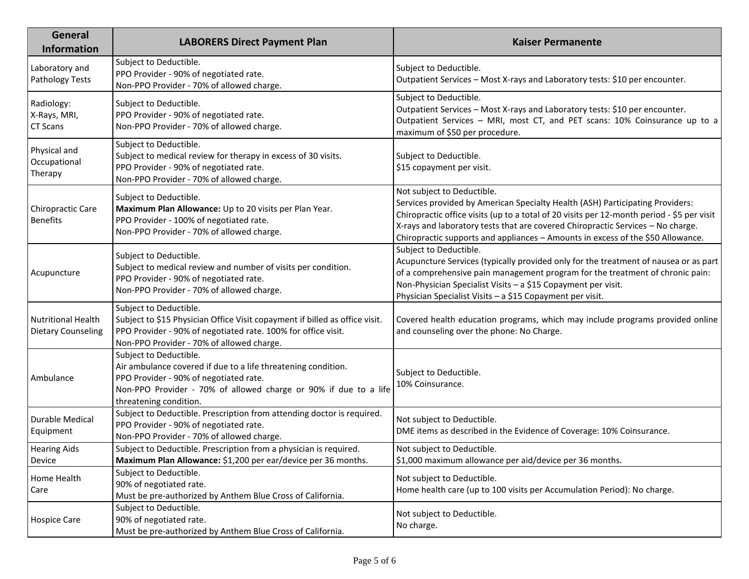| General<br><b>Information</b>                          | <b>LABORERS Direct Payment Plan</b>                                                                                                                                                                                             | <b>Kaiser Permanente</b>                                                                                                                                                                                                                                                                                                                                                        |
|--------------------------------------------------------|---------------------------------------------------------------------------------------------------------------------------------------------------------------------------------------------------------------------------------|---------------------------------------------------------------------------------------------------------------------------------------------------------------------------------------------------------------------------------------------------------------------------------------------------------------------------------------------------------------------------------|
| Laboratory and<br>Pathology Tests                      | Subject to Deductible.<br>PPO Provider - 90% of negotiated rate.<br>Non-PPO Provider - 70% of allowed charge.                                                                                                                   | Subject to Deductible.<br>Outpatient Services - Most X-rays and Laboratory tests: \$10 per encounter.                                                                                                                                                                                                                                                                           |
| Radiology:<br>X-Rays, MRI,<br><b>CT Scans</b>          | Subject to Deductible.<br>PPO Provider - 90% of negotiated rate.<br>Non-PPO Provider - 70% of allowed charge.                                                                                                                   | Subject to Deductible.<br>Outpatient Services - Most X-rays and Laboratory tests: \$10 per encounter.<br>Outpatient Services - MRI, most CT, and PET scans: 10% Coinsurance up to a<br>maximum of \$50 per procedure.                                                                                                                                                           |
| Physical and<br>Occupational<br>Therapy                | Subject to Deductible.<br>Subject to medical review for therapy in excess of 30 visits.<br>PPO Provider - 90% of negotiated rate.<br>Non-PPO Provider - 70% of allowed charge.                                                  | Subject to Deductible.<br>\$15 copayment per visit.                                                                                                                                                                                                                                                                                                                             |
| Chiropractic Care<br><b>Benefits</b>                   | Subject to Deductible.<br>Maximum Plan Allowance: Up to 20 visits per Plan Year.<br>PPO Provider - 100% of negotiated rate.<br>Non-PPO Provider - 70% of allowed charge.                                                        | Not subject to Deductible.<br>Services provided by American Specialty Health (ASH) Participating Providers:<br>Chiropractic office visits (up to a total of 20 visits per 12-month period - \$5 per visit<br>X-rays and laboratory tests that are covered Chiropractic Services - No charge.<br>Chiropractic supports and appliances - Amounts in excess of the \$50 Allowance. |
| Acupuncture                                            | Subject to Deductible.<br>Subject to medical review and number of visits per condition.<br>PPO Provider - 90% of negotiated rate.<br>Non-PPO Provider - 70% of allowed charge.                                                  | Subject to Deductible.<br>Acupuncture Services (typically provided only for the treatment of nausea or as part<br>of a comprehensive pain management program for the treatment of chronic pain:<br>Non-Physician Specialist Visits - a \$15 Copayment per visit.<br>Physician Specialist Visits - a \$15 Copayment per visit.                                                   |
| <b>Nutritional Health</b><br><b>Dietary Counseling</b> | Subject to Deductible.<br>Subject to \$15 Physician Office Visit copayment if billed as office visit.<br>PPO Provider - 90% of negotiated rate. 100% for office visit.<br>Non-PPO Provider - 70% of allowed charge.             | Covered health education programs, which may include programs provided online<br>and counseling over the phone: No Charge.                                                                                                                                                                                                                                                      |
| Ambulance                                              | Subject to Deductible.<br>Air ambulance covered if due to a life threatening condition.<br>PPO Provider - 90% of negotiated rate.<br>Non-PPO Provider - 70% of allowed charge or 90% if due to a life<br>threatening condition. | Subject to Deductible.<br>10% Coinsurance.                                                                                                                                                                                                                                                                                                                                      |
| Durable Medical<br>Equipment                           | Subject to Deductible. Prescription from attending doctor is required.<br>PPO Provider - 90% of negotiated rate.<br>Non-PPO Provider - 70% of allowed charge.                                                                   | Not subject to Deductible.<br>DME items as described in the Evidence of Coverage: 10% Coinsurance.                                                                                                                                                                                                                                                                              |
| <b>Hearing Aids</b><br>Device                          | Subject to Deductible. Prescription from a physician is required.<br>Maximum Plan Allowance: \$1,200 per ear/device per 36 months.                                                                                              | Not subject to Deductible.<br>\$1,000 maximum allowance per aid/device per 36 months.                                                                                                                                                                                                                                                                                           |
| Home Health<br>Care                                    | Subject to Deductible.<br>90% of negotiated rate.<br>Must be pre-authorized by Anthem Blue Cross of California.                                                                                                                 | Not subject to Deductible.<br>Home health care (up to 100 visits per Accumulation Period): No charge.                                                                                                                                                                                                                                                                           |
| <b>Hospice Care</b>                                    | Subject to Deductible.<br>90% of negotiated rate.<br>Must be pre-authorized by Anthem Blue Cross of California.                                                                                                                 | Not subject to Deductible.<br>No charge.                                                                                                                                                                                                                                                                                                                                        |